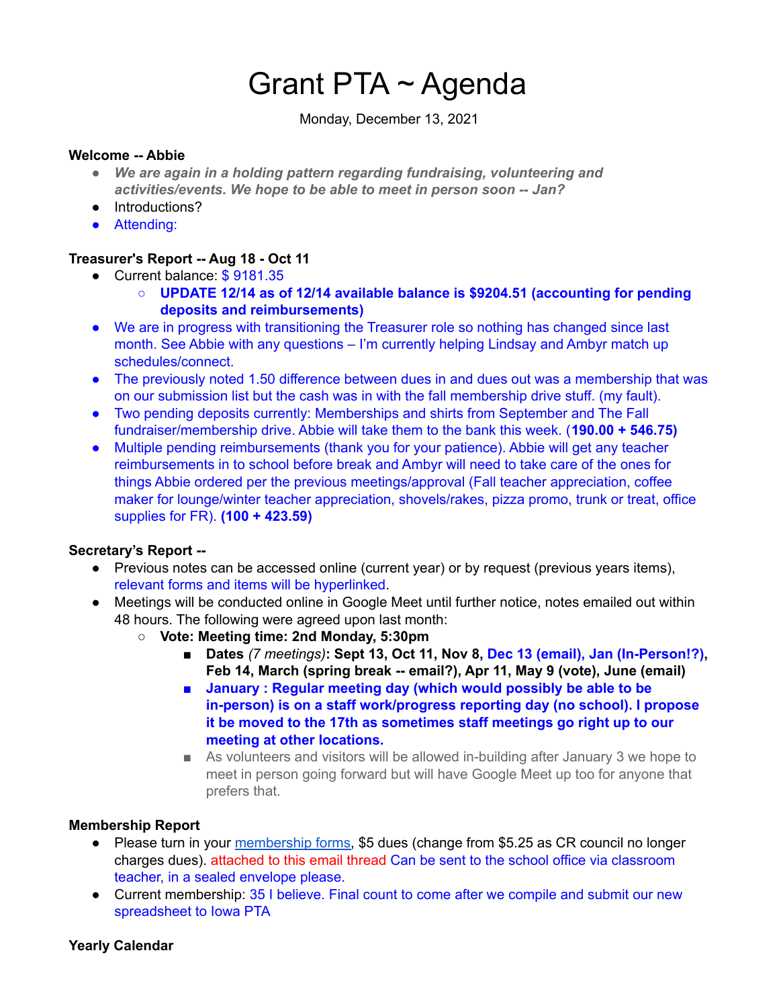# Grant PTA ~ Agenda

Monday, December 13, 2021

#### **Welcome -- Abbie**

- *● We are again in a holding pattern regarding fundraising, volunteering and activities/events. We hope to be able to meet in person soon -- Jan?*
- Introductions?
- Attending:

## **Treasurer's Report -- Aug 18 - Oct 11**

- Current balance: \$9181.35
	- **○ UPDATE 12/14 as of 12/14 available balance is \$9204.51 (accounting for pending deposits and reimbursements)**
- We are in progress with transitioning the Treasurer role so nothing has changed since last month. See Abbie with any questions – I'm currently helping Lindsay and Ambyr match up schedules/connect.
- The previously noted 1.50 difference between dues in and dues out was a membership that was on our submission list but the cash was in with the fall membership drive stuff. (my fault).
- Two pending deposits currently: Memberships and shirts from September and The Fall fundraiser/membership drive. Abbie will take them to the bank this week. (**190.00 + 546.75)**
- Multiple pending reimbursements (thank you for your patience). Abbie will get any teacher reimbursements in to school before break and Ambyr will need to take care of the ones for things Abbie ordered per the previous meetings/approval (Fall teacher appreciation, coffee maker for lounge/winter teacher appreciation, shovels/rakes, pizza promo, trunk or treat, office supplies for FR). **(100 + 423.59)**

## **Secretary's Report --**

- Previous notes can be accessed online (current year) or by request (previous years items), relevant forms and items will be hyperlinked.
- Meetings will be conducted online in Google Meet until further notice, notes emailed out within 48 hours. The following were agreed upon last month:
	- **○ Vote: Meeting time: 2nd Monday, 5:30pm**
		- **■ Dates** *(7 meetings)***: Sept 13, Oct 11, Nov 8, Dec 13 (email), Jan (In-Person!?), Feb 14, March (spring break -- email?), Apr 11, May 9 (vote), June (email)**
		- **■ January : Regular meeting day (which would possibly be able to be in-person) is on a staff work/progress reporting day (no school). I propose it be moved to the 17th as sometimes staff meetings go right up to our meeting at other locations.**
		- As volunteers and visitors will be allowed in-building after January 3 we hope to meet in person going forward but will have Google Meet up too for anyone that prefers that.

## **Membership Report**

- Please turn in your [membership](https://docs.google.com/document/u/6/d/1uPbiR6U21vNWAVk0MlDmTQn7ribgQYQ9j_b-uv61O-I/edit) forms, \$5 dues (change from \$5.25 as CR council no longer charges dues). attached to this email thread Can be sent to the school office via classroom teacher, in a sealed envelope please.
- Current membership: 35 I believe. Final count to come after we compile and submit our new spreadsheet to Iowa PTA

## **Yearly Calendar**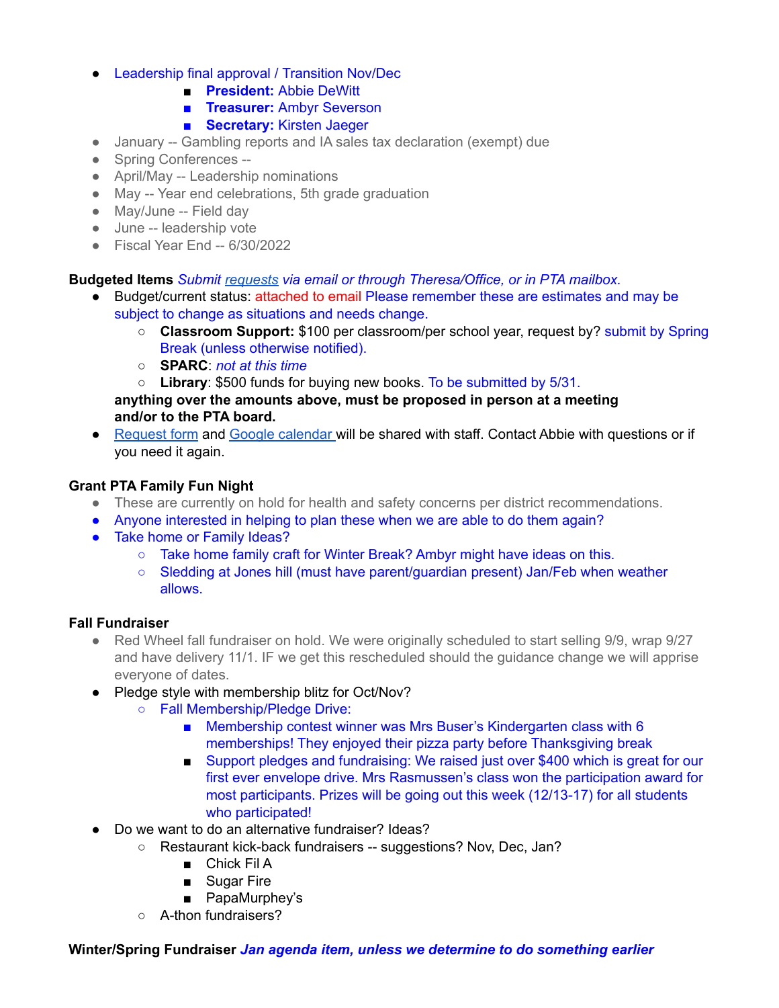- Leadership final approval / Transition Nov/Dec
	- **President:** Abbie DeWitt
	- **■ Treasurer:** Ambyr Severson
	- **■ Secretary:** Kirsten Jaeger
- January -- Gambling reports and IA sales tax declaration (exempt) due
- Spring Conferences --
- April/May -- Leadership nominations
- May -- Year end celebrations, 5th grade graduation
- May/June -- Field day
- June -- leadership vote
- Fiscal Year End -- 6/30/2022

**Budgeted Items** *Submit [requests](https://docs.google.com/document/u/6/d/1OlETgmfD3qSoYtYsMDUqpsSMnpwpmOnR4nUDpWTviIc/edit) via email or through Theresa/Office, or in PTA mailbox.*

- Budget/current status: attached to email Please remember these are estimates and may be subject to change as situations and needs change.
	- **Classroom Support:** \$100 per classroom/per school year, request by? submit by Spring Break (unless otherwise notified).
	- **SPARC**: *not at this time*
	- **Library**: \$500 funds for buying new books. To be submitted by 5/31.

**anything over the amounts above, must be proposed in person at a meeting and/or to the PTA board.**

● [Request](https://docs.google.com/document/u/6/d/1OlETgmfD3qSoYtYsMDUqpsSMnpwpmOnR4nUDpWTviIc/edit) form and Google [calendar](https://calendar.google.com/calendar/u/6?cid=Z3JhbnRlbGVtZW50YXJ5c2Nob29sY3IucHRhQGdtYWlsLmNvbQ) will be shared with staff. Contact Abbie with questions or if you need it again.

## **Grant PTA Family Fun Night**

- These are currently on hold for health and safety concerns per district recommendations.
- Anyone interested in helping to plan these when we are able to do them again?
- Take home or Family Ideas?
	- Take home family craft for Winter Break? Ambyr might have ideas on this.
	- Sledding at Jones hill (must have parent/guardian present) Jan/Feb when weather allows.

## **Fall Fundraiser**

- Red Wheel fall fundraiser on hold. We were originally scheduled to start selling 9/9, wrap 9/27 and have delivery 11/1. IF we get this rescheduled should the guidance change we will apprise everyone of dates.
- Pledge style with membership blitz for Oct/Nov?
	- Fall Membership/Pledge Drive:
		- Membership contest winner was Mrs Buser's Kindergarten class with 6 memberships! They enjoyed their pizza party before Thanksgiving break
		- Support pledges and fundraising: We raised just over \$400 which is great for our first ever envelope drive. Mrs Rasmussen's class won the participation award for most participants. Prizes will be going out this week (12/13-17) for all students who participated!
- Do we want to do an alternative fundraiser? Ideas?
	- Restaurant kick-back fundraisers -- suggestions? Nov, Dec, Jan?
		- Chick Fil A
		- Sugar Fire
		- PapaMurphey's
	- A-thon fundraisers?

**Winter/Spring Fundraiser** *Jan agenda item, unless we determine to do something earlier*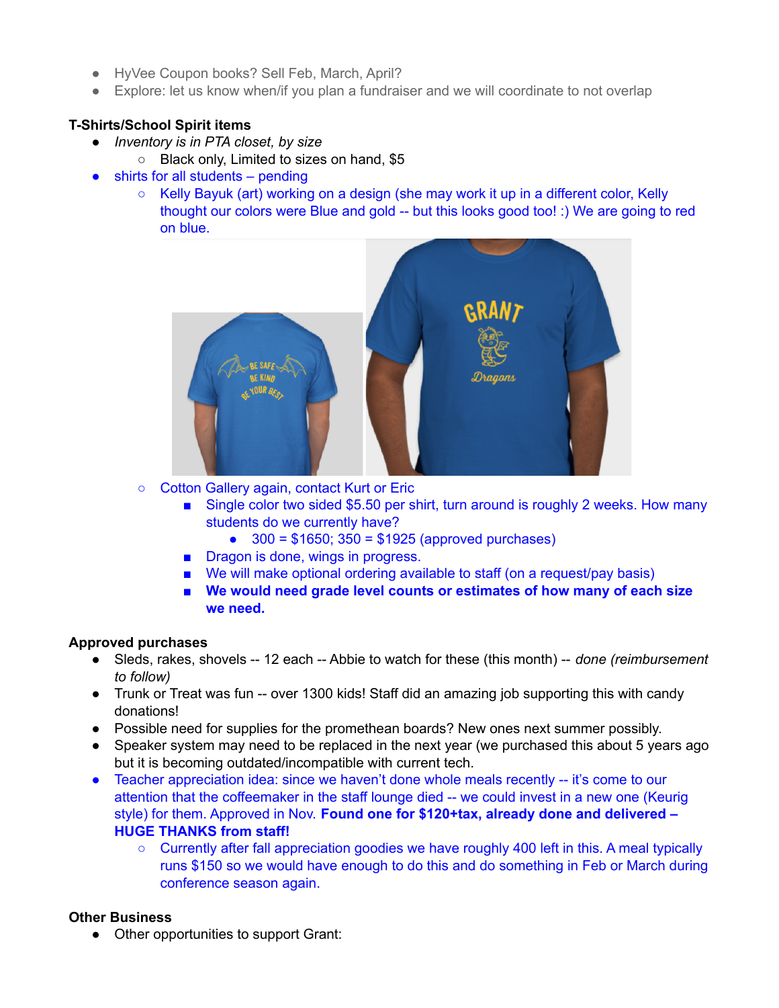- HyVee Coupon books? Sell Feb, March, April?
- Explore: let us know when/if you plan a fundraiser and we will coordinate to not overlap

## **T-Shirts/School Spirit items**

- *● Inventory is in PTA closet, by size*
	- Black only, Limited to sizes on hand, \$5
- $\bullet$  shirts for all students pending
	- Kelly Bayuk (art) working on a design (she may work it up in a different color, Kelly thought our colors were Blue and gold -- but this looks good too! :) We are going to red on blue.



- Cotton Gallery again, contact Kurt or Eric
	- Single color two sided \$5.50 per shirt, turn around is roughly 2 weeks. How many students do we currently have?
		- $\bullet$  300 = \$1650; 350 = \$1925 (approved purchases)
	- Dragon is done, wings in progress.
	- We will make optional ordering available to staff (on a request/pay basis)
	- **■ We would need grade level counts or estimates of how many of each size we need.**

## **Approved purchases**

- Sleds, rakes, shovels -- 12 each -- Abbie to watch for these (this month) -- *done (reimbursement to follow)*
- *●* Trunk or Treat was fun -- over 1300 kids! Staff did an amazing job supporting this with candy donations!
- Possible need for supplies for the promethean boards? New ones next summer possibly.
- Speaker system may need to be replaced in the next year (we purchased this about 5 years ago but it is becoming outdated/incompatible with current tech.
- Teacher appreciation idea: since we haven't done whole meals recently -- it's come to our attention that the coffeemaker in the staff lounge died -- we could invest in a new one (Keurig style) for them. Approved in Nov. **Found one for \$120+tax, already done and delivered – HUGE THANKS from staff!**
	- $\circ$  Currently after fall appreciation goodies we have roughly 400 left in this. A meal typically runs \$150 so we would have enough to do this and do something in Feb or March during conference season again.

## **Other Business**

● Other opportunities to support Grant: